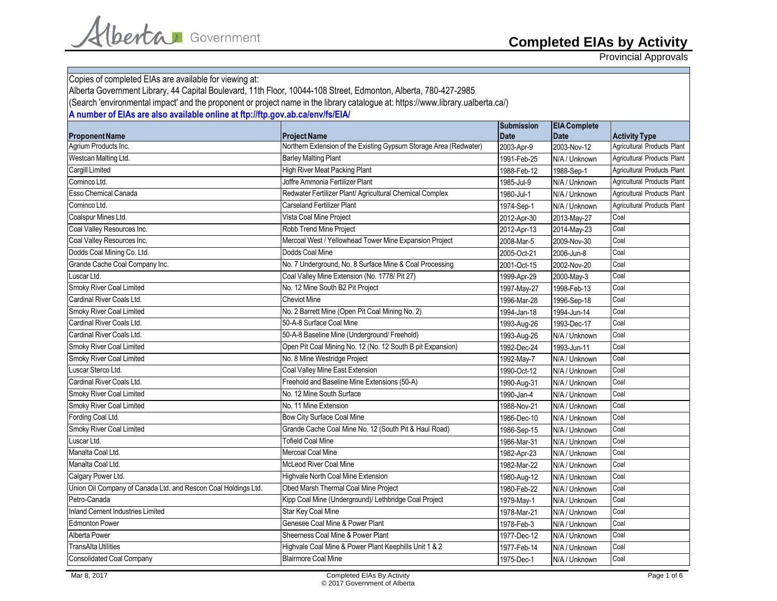Provincial Approvals

| Copies of completed EIAs are available for viewing at:                                                                          |                                                                   |                   |                     |                             |
|---------------------------------------------------------------------------------------------------------------------------------|-------------------------------------------------------------------|-------------------|---------------------|-----------------------------|
| Alberta Government Library, 44 Capital Boulevard, 11th Floor, 10044-108 Street, Edmonton, Alberta, 780-427-2985                 |                                                                   |                   |                     |                             |
| (Search 'environmental impact' and the proponent or project name in the library catalogue at: https://www.library.ualberta.ca/) |                                                                   |                   |                     |                             |
| A number of EIAs are also available online at ftp://ftp.gov.ab.ca/env/fs/EIA/                                                   |                                                                   |                   |                     |                             |
|                                                                                                                                 |                                                                   | <b>Submission</b> | <b>EIA Complete</b> |                             |
| <b>Proponent Name</b>                                                                                                           | <b>Project Name</b>                                               | <b>Date</b>       | <b>Date</b>         | <b>Activity Type</b>        |
| Agrium Products Inc.                                                                                                            | Northern Extension of the Existing Gypsum Storage Area (Redwater) | 2003-Apr-9        | 2003-Nov-12         | Agricultural Products Plant |
| Westcan Malting Ltd.                                                                                                            | <b>Barley Malting Plant</b>                                       | 1991-Feb-25       | N/A / Unknown       | Agricultural Products Plant |
| <b>Cargill Limited</b>                                                                                                          | <b>High River Meat Packing Plant</b>                              | 1988-Feb-12       | 1988-Sep-1          | Agricultural Products Plant |
| Cominco Ltd.                                                                                                                    | Joffre Ammonia Fertilizer Plant                                   | 1985-Jul-9        | N/A / Unknown       | Agricultural Products Plant |
| <b>Esso Chemical Canada</b>                                                                                                     | Redwater Fertilizer Plant/ Agricultural Chemical Complex          | 1980-Jul-1        | N/A / Unknown       | Agricultural Products Plant |
| Cominco Ltd.                                                                                                                    | Carseland Fertilizer Plant                                        | 1974-Sep-1        | N/A / Unknown       | Agricultural Products Plant |
| Coalspur Mines Ltd.                                                                                                             | Vista Coal Mine Project                                           | 2012-Apr-30       | 2013-May-27         | Coal                        |
| Coal Valley Resources Inc.                                                                                                      | Robb Trend Mine Project                                           | 2012-Apr-13       | 2014-May-23         | Coal                        |
| Coal Valley Resources Inc.                                                                                                      | Mercoal West / Yellowhead Tower Mine Expansion Project            | 2008-Mar-5        | 2009-Nov-30         | Coal                        |
| Dodds Coal Mining Co. Ltd.                                                                                                      | Dodds Coal Mine                                                   | 2005-Oct-21       | 2006-Jun-8          | Coal                        |
| Grande Cache Coal Company Inc.                                                                                                  | No. 7 Underground, No. 8 Surface Mine & Coal Processing           | 2001-Oct-15       | 2002-Nov-20         | Coal                        |
| Luscar Ltd.                                                                                                                     | Coal Valley Mine Extension (No. 1778/ Pit 27)                     | 1999-Apr-29       | 2000-May-3          | Coal                        |
| Smoky River Coal Limited                                                                                                        | No. 12 Mine South B2 Pit Project                                  | 1997-May-27       | 1998-Feb-13         | Coal                        |
| Cardinal River Coals Ltd.                                                                                                       | <b>Cheviot Mine</b>                                               | 1996-Mar-28       | 1996-Sep-18         | Coal                        |
| <b>Smoky River Coal Limited</b>                                                                                                 | No. 2 Barrett Mine (Open Pit Coal Mining No. 2)                   | 1994-Jan-18       | 1994-Jun-14         | Coal                        |
| Cardinal River Coals Ltd.                                                                                                       | 50-A-8 Surface Coal Mine                                          | 1993-Aug-26       | 1993-Dec-17         | Coal                        |
| Cardinal River Coals Ltd.                                                                                                       | 50-A-8 Baseline Mine (Underground/ Freehold)                      | 1993-Aug-26       | N/A / Unknown       | Coal                        |
| <b>Smoky River Coal Limited</b>                                                                                                 | Open Pit Coal Mining No. 12 (No. 12 South B pit Expansion)        | 1992-Dec-24       | 1993-Jun-11         | Coal                        |
| Smoky River Coal Limited                                                                                                        | No. 8 Mine Westridge Project                                      | 1992-May-7        | N/A / Unknown       | Coal                        |
| Luscar Sterco Ltd.                                                                                                              | Coal Valley Mine East Extension                                   | 1990-Oct-12       | N/A / Unknown       | Coal                        |
| Cardinal River Coals Ltd.                                                                                                       | Freehold and Baseline Mine Extensions (50-A)                      | 1990-Aug-31       | N/A / Unknown       | Coal                        |
| <b>Smoky River Coal Limited</b>                                                                                                 | No. 12 Mine South Surface                                         | 1990-Jan-4        | N/A / Unknown       | Coal                        |
| Smoky River Coal Limited                                                                                                        | No. 11 Mine Extension                                             | 1988-Nov-21       | N/A / Unknown       | Coal                        |
| Fording Coal Ltd.                                                                                                               | Bow City Surface Coal Mine                                        | 1986-Dec-10       | N/A / Unknown       | Coal                        |
| Smoky River Coal Limited                                                                                                        | Grande Cache Coal Mine No. 12 (South Pit & Haul Road)             | 1986-Sep-15       | N/A / Unknown       | Coal                        |
| Luscar Ltd.                                                                                                                     | <b>Tofield Coal Mine</b>                                          | 1986-Mar-31       | N/A / Unknown       | Coal                        |
| Manalta Coal Ltd.                                                                                                               | <b>Mercoal Coal Mine</b>                                          | 1982-Apr-23       | N/A / Unknown       | Coal                        |
| Manalta Coal Ltd.                                                                                                               | McLeod River Coal Mine                                            | 1982-Mar-22       | N/A / Unknown       | Coal                        |
| Calgary Power Ltd.                                                                                                              | Highvale North Coal Mine Extension                                | 1980-Aug-12       | N/A / Unknown       | Coal                        |
| Union Oil Company of Canada Ltd. and Rescon Coal Holdings Ltd.                                                                  | Obed Marsh Thermal Coal Mine Project                              | 1980-Feb-22       | N/A / Unknown       | Coal                        |
| Petro-Canada                                                                                                                    | Kipp Coal Mine (Underground)/ Lethbridge Coal Project             | 1979-May-1        | N/A / Unknown       | Coal                        |
| <b>Inland Cement Industries Limited</b>                                                                                         | Star Key Coal Mine                                                | 1978-Mar-21       | N/A / Unknown       | Coal                        |
| <b>Edmonton Power</b>                                                                                                           | Genesee Coal Mine & Power Plant                                   | 1978-Feb-3        | N/A / Unknown       | Coal                        |
| Alberta Power                                                                                                                   | Sheerness Coal Mine & Power Plant                                 | 1977-Dec-12       | N/A / Unknown       | Coal                        |
| <b>TransAlta Utilities</b>                                                                                                      | Highvale Coal Mine & Power Plant Keephills Unit 1 & 2             | 1977-Feb-14       | N/A / Unknown       | Coal                        |
| <b>Consolidated Coal Company</b>                                                                                                | <b>Blairmore Coal Mine</b>                                        | 1975-Dec-1        | N/A / Unknown       | Coal                        |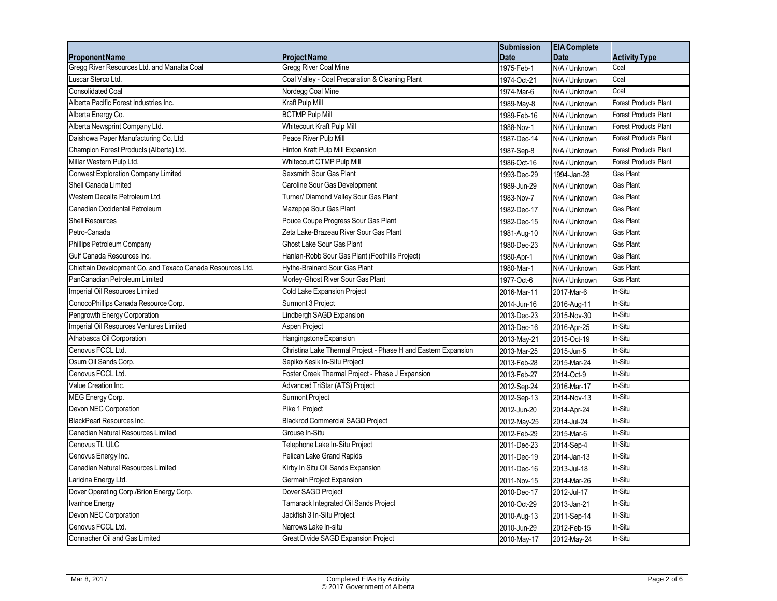|                                                            |                                                                | <b>Submission</b> | <b>EIA</b> Complete |                              |
|------------------------------------------------------------|----------------------------------------------------------------|-------------------|---------------------|------------------------------|
| <b>Proponent Name</b>                                      | <b>Project Name</b>                                            | <b>Date</b>       | <b>Date</b>         | <b>Activity Type</b>         |
| Gregg River Resources Ltd. and Manalta Coal                | Gregg River Coal Mine                                          | 1975-Feb-1        | N/A / Unknown       | Coal                         |
| Luscar Sterco Ltd.                                         | Coal Valley - Coal Preparation & Cleaning Plant                | 1974-Oct-21       | N/A / Unknown       | Coal                         |
| <b>Consolidated Coal</b>                                   | Nordegg Coal Mine                                              | 1974-Mar-6        | N/A / Unknown       | Coal                         |
| Alberta Pacific Forest Industries Inc.                     | Kraft Pulp Mill                                                | 1989-May-8        | N/A / Unknown       | <b>Forest Products Plant</b> |
| Alberta Energy Co.                                         | <b>BCTMP Pulp Mill</b>                                         | 1989-Feb-16       | N/A / Unknown       | <b>Forest Products Plant</b> |
| Alberta Newsprint Company Ltd.                             | Whitecourt Kraft Pulp Mill                                     | 1988-Nov-1        | N/A / Unknown       | <b>Forest Products Plant</b> |
| Daishowa Paper Manufacturing Co. Ltd.                      | Peace River Pulp Mill                                          | 1987-Dec-14       | N/A / Unknown       | <b>Forest Products Plant</b> |
| Champion Forest Products (Alberta) Ltd.                    | Hinton Kraft Pulp Mill Expansion                               | 1987-Sep-8        | N/A / Unknown       | <b>Forest Products Plant</b> |
| Millar Western Pulp Ltd.                                   | Whitecourt CTMP Pulp Mill                                      | 1986-Oct-16       | N/A / Unknown       | <b>Forest Products Plant</b> |
| <b>Conwest Exploration Company Limited</b>                 | Sexsmith Sour Gas Plant                                        | 1993-Dec-29       | 1994-Jan-28         | Gas Plant                    |
| Shell Canada Limited                                       | Caroline Sour Gas Development                                  | 1989-Jun-29       | N/A / Unknown       | Gas Plant                    |
| Western Decalta Petroleum Ltd.                             | Turner/ Diamond Valley Sour Gas Plant                          | 1983-Nov-7        | N/A / Unknown       | Gas Plant                    |
| Canadian Occidental Petroleum                              | Mazeppa Sour Gas Plant                                         | 1982-Dec-17       | N/A / Unknown       | Gas Plant                    |
| <b>Shell Resources</b>                                     | Pouce Coupe Progress Sour Gas Plant                            | 1982-Dec-15       | N/A / Unknown       | Gas Plant                    |
| Petro-Canada                                               | Zeta Lake-Brazeau River Sour Gas Plant                         | 1981-Aug-10       | N/A / Unknown       | Gas Plant                    |
| Phillips Petroleum Company                                 | Ghost Lake Sour Gas Plant                                      | 1980-Dec-23       | N/A / Unknown       | Gas Plant                    |
| Gulf Canada Resources Inc.                                 | Hanlan-Robb Sour Gas Plant (Foothills Project)                 | 1980-Apr-1        | N/A / Unknown       | Gas Plant                    |
| Chieftain Development Co. and Texaco Canada Resources Ltd. | Hythe-Brainard Sour Gas Plant                                  | 1980-Mar-1        | N/A / Unknown       | Gas Plant                    |
| PanCanadian Petroleum Limited                              | Morley-Ghost River Sour Gas Plant                              | 1977-Oct-6        | N/A / Unknown       | Gas Plant                    |
| Imperial Oil Resources Limited                             | Cold Lake Expansion Project                                    | 2016-Mar-11       | 2017-Mar-6          | In-Situ                      |
| ConocoPhillips Canada Resource Corp.                       | Surmont 3 Project                                              | 2014-Jun-16       | 2016-Aug-11         | In-Situ                      |
| Pengrowth Energy Corporation                               | Lindbergh SAGD Expansion                                       | 2013-Dec-23       | 2015-Nov-30         | In-Situ                      |
| Imperial Oil Resources Ventures Limited                    | Aspen Project                                                  | 2013-Dec-16       | 2016-Apr-25         | In-Situ                      |
| Athabasca Oil Corporation                                  | Hangingstone Expansion                                         | 2013-May-21       | 2015-Oct-19         | In-Situ                      |
| Cenovus FCCL Ltd.                                          | Christina Lake Thermal Project - Phase H and Eastern Expansion | 2013-Mar-25       | 2015-Jun-5          | In-Situ                      |
| Osum Oil Sands Corp.                                       | Sepiko Kesik In-Situ Project                                   | 2013-Feb-28       | 2015-Mar-24         | In-Situ                      |
| Cenovus FCCL Ltd.                                          | Foster Creek Thermal Project - Phase J Expansion               | 2013-Feb-27       | 2014-Oct-9          | In-Situ                      |
| Value Creation Inc.                                        | Advanced TriStar (ATS) Project                                 | 2012-Sep-24       | 2016-Mar-17         | In-Situ                      |
| MEG Energy Corp.                                           | Surmont Project                                                | 2012-Sep-13       | 2014-Nov-13         | In-Situ                      |
| Devon NEC Corporation                                      | Pike 1 Project                                                 | 2012-Jun-20       | 2014-Apr-24         | In-Situ                      |
| BlackPearl Resources Inc.                                  | <b>Blackrod Commercial SAGD Project</b>                        | 2012-May-25       | 2014-Jul-24         | In-Situ                      |
| Canadian Natural Resources Limited                         | Grouse In-Situ                                                 | 2012-Feb-29       | 2015-Mar-6          | In-Situ                      |
| Cenovus TL ULC                                             | Telephone Lake In-Situ Project                                 | 2011-Dec-23       | 2014-Sep-4          | In-Situ                      |
| Cenovus Energy Inc.                                        | Pelican Lake Grand Rapids                                      | 2011-Dec-19       | 2014-Jan-13         | In-Situ                      |
| Canadian Natural Resources Limited                         | Kirby In Situ Oil Sands Expansion                              | 2011-Dec-16       | 2013-Jul-18         | In-Situ                      |
| Laricina Energy Ltd.                                       | Germain Project Expansion                                      | 2011-Nov-15       | 2014-Mar-26         | In-Situ                      |
| Dover Operating Corp./Brion Energy Corp.                   | Dover SAGD Project                                             | 2010-Dec-17       | 2012-Jul-17         | In-Situ                      |
| Ivanhoe Energy                                             | Tamarack Integrated Oil Sands Project                          | 2010-Oct-29       | 2013-Jan-21         | In-Situ                      |
| Devon NEC Corporation                                      | Jackfish 3 In-Situ Project                                     | 2010-Aug-13       | 2011-Sep-14         | In-Situ                      |
| Cenovus FCCL Ltd.                                          | Narrows Lake In-situ                                           | 2010-Jun-29       | 2012-Feb-15         | In-Situ                      |
| Connacher Oil and Gas Limited                              | Great Divide SAGD Expansion Project                            | 2010-May-17       | 2012-May-24         | In-Situ                      |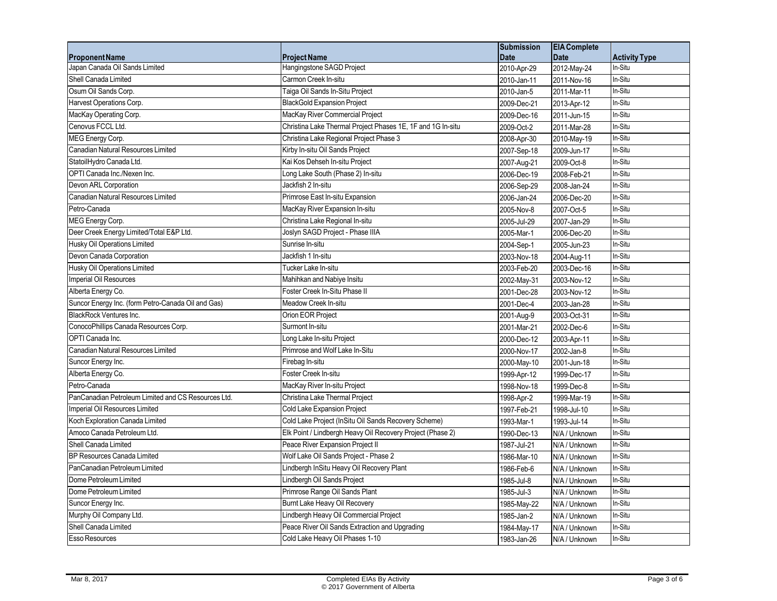|                                                     |                                                             | <b>Submission</b> | <b>EIA Complete</b> |                      |
|-----------------------------------------------------|-------------------------------------------------------------|-------------------|---------------------|----------------------|
| <b>Proponent Name</b>                               | <b>Project Name</b>                                         | <b>Date</b>       | <b>Date</b>         | <b>Activity Type</b> |
| Japan Canada Oil Sands Limited                      | Hangingstone SAGD Project                                   | 2010-Apr-29       | 2012-May-24         | In-Situ              |
| Shell Canada Limited                                | Carmon Creek In-situ                                        | 2010-Jan-11       | 2011-Nov-16         | In-Situ              |
| Osum Oil Sands Corp.                                | Taiga Oil Sands In-Situ Project                             | 2010-Jan-5        | 2011-Mar-11         | In-Situ              |
| Harvest Operations Corp.                            | <b>BlackGold Expansion Project</b>                          | 2009-Dec-21       | 2013-Apr-12         | In-Situ              |
| MacKay Operating Corp.                              | MacKay River Commercial Project                             | 2009-Dec-16       | 2011-Jun-15         | In-Situ              |
| Cenovus FCCL Ltd.                                   | Christina Lake Thermal Project Phases 1E, 1F and 1G In-situ | 2009-Oct-2        | 2011-Mar-28         | In-Situ              |
| MEG Energy Corp.                                    | Christina Lake Regional Project Phase 3                     | 2008-Apr-30       | 2010-May-19         | In-Situ              |
| Canadian Natural Resources Limited                  | Kirby In-situ Oil Sands Project                             | 2007-Sep-18       | 2009-Jun-17         | In-Situ              |
| StatoilHydro Canada Ltd.                            | Kai Kos Dehseh In-situ Project                              | 2007-Aug-21       | 2009-Oct-8          | In-Situ              |
| OPTI Canada Inc./Nexen Inc.                         | Long Lake South (Phase 2) In-situ                           | 2006-Dec-19       | 2008-Feb-21         | In-Situ              |
| Devon ARL Corporation                               | Jackfish 2 In-situ                                          | 2006-Sep-29       | 2008-Jan-24         | In-Situ              |
| Canadian Natural Resources Limited                  | Primrose East In-situ Expansion                             | 2006-Jan-24       | 2006-Dec-20         | In-Situ              |
| Petro-Canada                                        | MacKay River Expansion In-situ                              | 2005-Nov-8        | 2007-Oct-5          | In-Situ              |
| MEG Energy Corp.                                    | Christina Lake Regional In-situ                             | 2005-Jul-29       | 2007-Jan-29         | In-Situ              |
| Deer Creek Energy Limited/Total E&P Ltd.            | Joslyn SAGD Project - Phase IIIA                            | 2005-Mar-1        | 2006-Dec-20         | In-Situ              |
| Husky Oil Operations Limited                        | Sunrise In-situ                                             | 2004-Sep-1        | 2005-Jun-23         | In-Situ              |
| Devon Canada Corporation                            | Jackfish 1 In-situ                                          | 2003-Nov-18       | 2004-Aug-11         | In-Situ              |
| Husky Oil Operations Limited                        | Tucker Lake In-situ                                         | 2003-Feb-20       | 2003-Dec-16         | In-Situ              |
| Imperial Oil Resources                              | Mahihkan and Nabiye Insitu                                  | 2002-May-31       | 2003-Nov-12         | In-Situ              |
| Alberta Energy Co.                                  | Foster Creek In-Situ Phase II                               | 2001-Dec-28       | 2003-Nov-12         | In-Situ              |
| Suncor Energy Inc. (form Petro-Canada Oil and Gas)  | Meadow Creek In-situ                                        | 2001-Dec-4        | 2003-Jan-28         | In-Situ              |
| <b>BlackRock Ventures Inc.</b>                      | Orion EOR Project                                           | 2001-Aug-9        | 2003-Oct-31         | In-Situ              |
| ConocoPhillips Canada Resources Corp.               | Surmont In-situ                                             | 2001-Mar-21       | 2002-Dec-6          | In-Situ              |
| OPTI Canada Inc.                                    | Long Lake In-situ Project                                   | 2000-Dec-12       | 2003-Apr-11         | In-Situ              |
| Canadian Natural Resources Limited                  | Primrose and Wolf Lake In-Situ                              | 2000-Nov-17       | 2002-Jan-8          | In-Situ              |
| Suncor Energy Inc.                                  | Firebag In-situ                                             | 2000-May-10       | 2001-Jun-18         | In-Situ              |
| Alberta Energy Co.                                  | Foster Creek In-situ                                        | $1999 - Apr - 12$ | 1999-Dec-17         | In-Situ              |
| Petro-Canada                                        | MacKay River In-situ Project                                | 1998-Nov-18       | 1999-Dec-8          | In-Situ              |
| PanCanadian Petroleum Limited and CS Resources Ltd. | Christina Lake Thermal Project                              | 1998-Apr-2        | 1999-Mar-19         | In-Situ              |
| Imperial Oil Resources Limited                      | Cold Lake Expansion Project                                 | 1997-Feb-21       | 1998-Jul-10         | In-Situ              |
| Koch Exploration Canada Limited                     | Cold Lake Project (InSitu Oil Sands Recovery Scheme)        | 1993-Mar-1        | 1993-Jul-14         | In-Situ              |
| Amoco Canada Petroleum Ltd.                         | Elk Point / Lindbergh Heavy Oil Recovery Project (Phase 2)  | 1990-Dec-13       | N/A / Unknown       | In-Situ              |
| Shell Canada Limited                                | Peace River Expansion Project II                            | 1987-Jul-21       | N/A / Unknown       | In-Situ              |
| <b>BP Resources Canada Limited</b>                  | Wolf Lake Oil Sands Project - Phase 2                       | 1986-Mar-10       | N/A / Unknown       | In-Situ              |
| PanCanadian Petroleum Limited                       | Lindbergh InSitu Heavy Oil Recovery Plant                   | 1986-Feb-6        | N/A / Unknown       | In-Situ              |
| Dome Petroleum Limited                              | Lindbergh Oil Sands Project                                 | 1985-Jul-8        | N/A / Unknown       | In-Situ              |
| Dome Petroleum Limited                              | Primrose Range Oil Sands Plant                              | 1985-Jul-3        | N/A / Unknown       | In-Situ              |
| Suncor Energy Inc.                                  | Burnt Lake Heavy Oil Recovery                               | 1985-May-22       | N/A / Unknown       | In-Situ              |
| Murphy Oil Company Ltd.                             | Lindbergh Heavy Oil Commercial Project                      | 1985-Jan-2        | N/A / Unknown       | In-Situ              |
| Shell Canada Limited                                | Peace River Oil Sands Extraction and Upgrading              | 1984-May-17       | N/A / Unknown       | In-Situ              |
| <b>Esso Resources</b>                               | Cold Lake Heavy Oil Phases 1-10                             | 1983-Jan-26       | N/A / Unknown       | In-Situ              |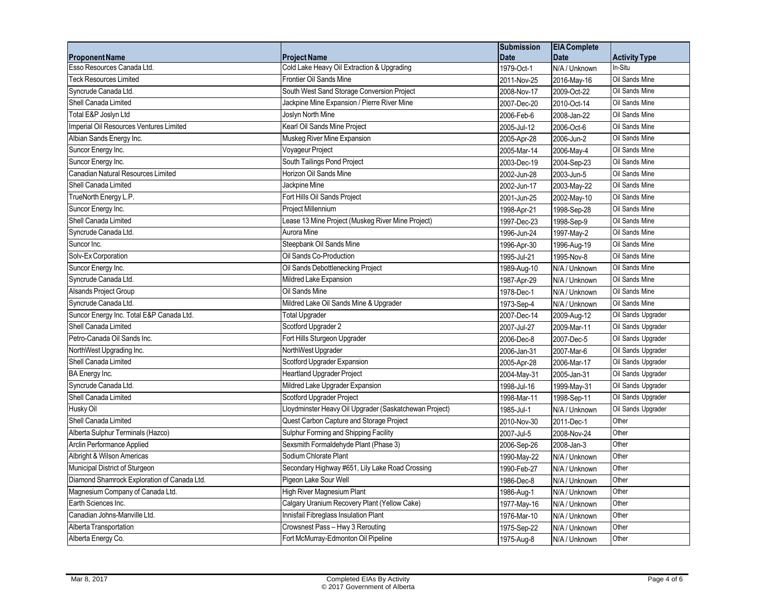|                                             |                                                        | <b>Submission</b> | <b>EIA Complete</b> |                      |
|---------------------------------------------|--------------------------------------------------------|-------------------|---------------------|----------------------|
| <b>Proponent Name</b>                       | <b>Project Name</b>                                    | <b>Date</b>       | <b>Date</b>         | <b>Activity Type</b> |
| Esso Resources Canada Ltd.                  | Cold Lake Heavy Oil Extraction & Upgrading             | 1979-Oct-1        | N/A / Unknown       | In-Situ              |
| <b>Teck Resources Limited</b>               | Frontier Oil Sands Mine                                | 2011-Nov-25       | 2016-May-16         | Oil Sands Mine       |
| Syncrude Canada Ltd.                        | South West Sand Storage Conversion Project             | 2008-Nov-17       | 2009-Oct-22         | Oil Sands Mine       |
| Shell Canada Limited                        | Jackpine Mine Expansion / Pierre River Mine            | 2007-Dec-20       | 2010-Oct-14         | Oil Sands Mine       |
| Total E&P Joslyn Ltd                        | Joslyn North Mine                                      | 2006-Feb-6        | 2008-Jan-22         | Oil Sands Mine       |
| Imperial Oil Resources Ventures Limited     | Kearl Oil Sands Mine Project                           | 2005-Jul-12       | 2006-Oct-6          | Oil Sands Mine       |
| Albian Sands Energy Inc.                    | Muskeg River Mine Expansion                            | 2005-Apr-28       | 2006-Jun-2          | Oil Sands Mine       |
| Suncor Energy Inc.                          | Voyageur Project                                       | 2005-Mar-14       | 2006-May-4          | Oil Sands Mine       |
| Suncor Energy Inc.                          | South Tailings Pond Project                            | 2003-Dec-19       | 2004-Sep-23         | Oil Sands Mine       |
| Canadian Natural Resources Limited          | Horizon Oil Sands Mine                                 | 2002-Jun-28       | 2003-Jun-5          | Oil Sands Mine       |
| Shell Canada Limited                        | Jackpine Mine                                          | 2002-Jun-17       | 2003-May-22         | Oil Sands Mine       |
| TrueNorth Energy L.P.                       | Fort Hills Oil Sands Project                           | 2001-Jun-25       | 2002-May-10         | Oil Sands Mine       |
| Suncor Energy Inc.                          | Project Millennium                                     | 1998-Apr-21       | 1998-Sep-28         | Oil Sands Mine       |
| Shell Canada Limited                        | Lease 13 Mine Project (Muskeg River Mine Project)      | 1997-Dec-23       | 1998-Sep-9          | Oil Sands Mine       |
| Syncrude Canada Ltd.                        | Aurora Mine                                            | 1996-Jun-24       | 1997-May-2          | Oil Sands Mine       |
| Suncor Inc.                                 | Steepbank Oil Sands Mine                               | 1996-Apr-30       | 1996-Aug-19         | Oil Sands Mine       |
| Solv-Ex Corporation                         | Oil Sands Co-Production                                | 1995-Jul-21       | 1995-Nov-8          | Oil Sands Mine       |
| Suncor Energy Inc.                          | Oil Sands Debottlenecking Project                      | 1989-Aug-10       | N/A / Unknown       | Oil Sands Mine       |
| Syncrude Canada Ltd.                        | Mildred Lake Expansion                                 | 1987-Apr-29       | N/A / Unknown       | Oil Sands Mine       |
| <b>Alsands Project Group</b>                | Oil Sands Mine                                         | 1978-Dec-1        | N/A / Unknown       | Oil Sands Mine       |
| Syncrude Canada Ltd.                        | Mildred Lake Oil Sands Mine & Upgrader                 | 1973-Sep-4        | N/A / Unknown       | Oil Sands Mine       |
| Suncor Energy Inc. Total E&P Canada Ltd.    | <b>Total Upgrader</b>                                  | 2007-Dec-14       | 2009-Aug-12         | Oil Sands Upgrader   |
| Shell Canada Limited                        | Scotford Upgrader 2                                    | 2007-Jul-27       | 2009-Mar-11         | Oil Sands Upgrader   |
| Petro-Canada Oil Sands Inc.                 | Fort Hills Sturgeon Upgrader                           | 2006-Dec-8        | 2007-Dec-5          | Oil Sands Upgrader   |
| NorthWest Upgrading Inc.                    | NorthWest Upgrader                                     | 2006-Jan-31       | 2007-Mar-6          | Oil Sands Upgrader   |
| Shell Canada Limited                        | Scotford Upgrader Expansion                            | 2005-Apr-28       | 2006-Mar-17         | Oil Sands Upgrader   |
| BA Energy Inc.                              | <b>Heartland Upgrader Project</b>                      | 2004-May-31       | 2005-Jan-31         | Oil Sands Upgrader   |
| Syncrude Canada Ltd.                        | Mildred Lake Upgrader Expansion                        | 1998-Jul-16       | 1999-May-31         | Oil Sands Upgrader   |
| Shell Canada Limited                        | Scotford Upgrader Project                              | 1998-Mar-11       | 1998-Sep-11         | Oil Sands Upgrader   |
| Husky Oil                                   | Lloydminster Heavy Oil Upgrader (Saskatchewan Project) | 1985-Jul-1        | N/A / Unknown       | Oil Sands Upgrader   |
| Shell Canada Limited                        | Quest Carbon Capture and Storage Project               | 2010-Nov-30       | 2011-Dec-1          | Other                |
| Alberta Sulphur Terminals (Hazco)           | Sulphur Forming and Shipping Facility                  | 2007-Jul-5        | 2008-Nov-24         | Other                |
| Arclin Performance Applied                  | Sexsmith Formaldehyde Plant (Phase 3)                  | 2006-Sep-26       | 2008-Jan-3          | Other                |
| Albright & Wilson Americas                  | Sodium Chlorate Plant                                  | 1990-May-22       | N/A / Unknown       | Other                |
| Municipal District of Sturgeon              | Secondary Highway #651, Lily Lake Road Crossing        | 1990-Feb-27       | N/A / Unknown       | Other                |
| Diamond Shamrock Exploration of Canada Ltd. | Pigeon Lake Sour Well                                  | 1986-Dec-8        | N/A / Unknown       | Other                |
| Magnesium Company of Canada Ltd.            | High River Magnesium Plant                             | 1986-Aug-1        | N/A / Unknown       | Other                |
| Earth Sciences Inc.                         | Calgary Uranium Recovery Plant (Yellow Cake)           | 1977-May-16       | N/A / Unknown       | Other                |
| Canadian Johns-Manville Ltd.                | Innisfail Fibreglass Insulation Plant                  | 1976-Mar-10       | N/A / Unknown       | Other                |
| Alberta Transportation                      | Crowsnest Pass - Hwy 3 Rerouting                       | 1975-Sep-22       | N/A / Unknown       | Other                |
| Alberta Energy Co.                          | Fort McMurray-Edmonton Oil Pipeline                    | 1975-Aug-8        | N/A / Unknown       | Other                |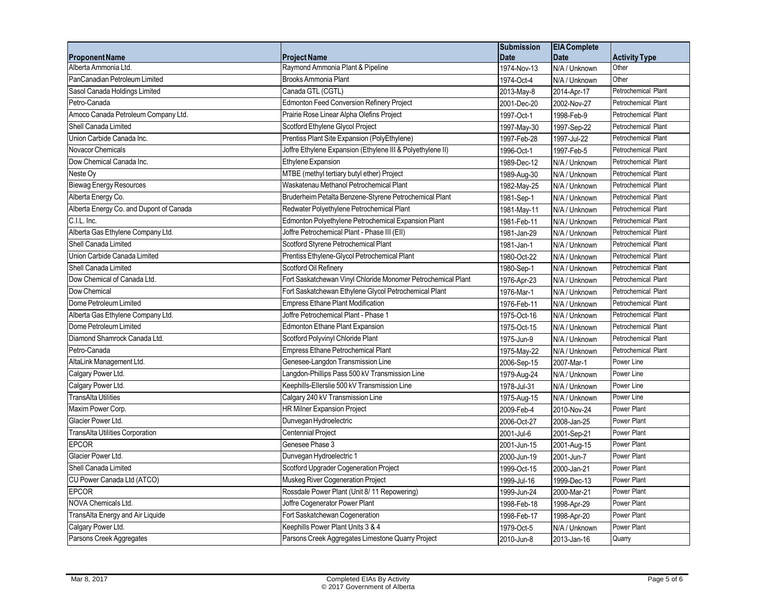|                                         |                                                              | <b>Submission</b> | <b>EIA Complete</b> |                      |
|-----------------------------------------|--------------------------------------------------------------|-------------------|---------------------|----------------------|
| <b>Proponent Name</b>                   | <b>Project Name</b>                                          | <b>Date</b>       | <b>Date</b>         | <b>Activity Type</b> |
| Alberta Ammonia Ltd.                    | Raymond Ammonia Plant & Pipeline                             | 1974-Nov-13       | N/A / Unknown       | Other                |
| PanCanadian Petroleum Limited           | <b>Brooks Ammonia Plant</b>                                  | 1974-Oct-4        | N/A / Unknown       | Other                |
| Sasol Canada Holdings Limited           | Canada GTL (CGTL)                                            | 2013-May-8        | 2014-Apr-17         | Petrochemical Plant  |
| Petro-Canada                            | Edmonton Feed Conversion Refinery Project                    | 2001-Dec-20       | 2002-Nov-27         | Petrochemical Plant  |
| Amoco Canada Petroleum Company Ltd.     | Prairie Rose Linear Alpha Olefins Project                    | 1997-Oct-1        | 1998-Feb-9          | Petrochemical Plant  |
| Shell Canada Limited                    | Scotford Ethylene Glycol Project                             | 1997-May-30       | 1997-Sep-22         | Petrochemical Plant  |
| Union Carbide Canada Inc.               | Prentiss Plant Site Expansion (PolyEthylene)                 | 1997-Feb-28       | 1997-Jul-22         | Petrochemical Plant  |
| Novacor Chemicals                       | Joffre Ethylene Expansion (Ethylene III & Polyethylene II)   | 1996-Oct-1        | 1997-Feb-5          | Petrochemical Plant  |
| Dow Chemical Canada Inc.                | Ethylene Expansion                                           | 1989-Dec-12       | N/A / Unknown       | Petrochemical Plant  |
| Neste Oy                                | MTBE (methyl tertiary butyl ether) Project                   | 1989-Aug-30       | N/A / Unknown       | Petrochemical Plant  |
| <b>Biewag Energy Resources</b>          | Waskatenau Methanol Petrochemical Plant                      | 1982-May-25       | N/A / Unknown       | Petrochemical Plant  |
| Alberta Energy Co.                      | Bruderheim Petalta Benzene-Styrene Petrochemical Plant       | 1981-Sep-1        | N/A / Unknown       | Petrochemical Plant  |
| Alberta Energy Co. and Dupont of Canada | Redwater Polyethylene Petrochemical Plant                    | 1981-May-11       | N/A / Unknown       | Petrochemical Plant  |
| C.I.L. Inc.                             | Edmonton Polyethylene Petrochemical Expansion Plant          | 1981-Feb-11       | N/A / Unknown       | Petrochemical Plant  |
| Alberta Gas Ethylene Company Ltd.       | Joffre Petrochemical Plant - Phase III (EII)                 | 1981-Jan-29       | N/A / Unknown       | Petrochemical Plant  |
| Shell Canada Limited                    | Scotford Styrene Petrochemical Plant                         | 1981-Jan-1        | N/A / Unknown       | Petrochemical Plant  |
| Union Carbide Canada Limited            | Prentiss Ethylene-Glycol Petrochemical Plant                 | 1980-Oct-22       | N/A / Unknown       | Petrochemical Plant  |
| Shell Canada Limited                    | Scotford Oil Refinery                                        | 1980-Sep-1        | N/A / Unknown       | Petrochemical Plant  |
| Dow Chemical of Canada Ltd.             | Fort Saskatchewan Vinyl Chloride Monomer Petrochemical Plant | 1976-Apr-23       | N/A / Unknown       | Petrochemical Plant  |
| Dow Chemical                            | Fort Saskatchewan Ethylene Glycol Petrochemical Plant        | 1976-Mar-1        | N/A / Unknown       | Petrochemical Plant  |
| Dome Petroleum Limited                  | <b>Empress Ethane Plant Modification</b>                     | 1976-Feb-11       | N/A / Unknown       | Petrochemical Plant  |
| Alberta Gas Ethylene Company Ltd.       | Joffre Petrochemical Plant - Phase 1                         | 1975-Oct-16       | N/A / Unknown       | Petrochemical Plant  |
| Dome Petroleum Limited                  | <b>Edmonton Ethane Plant Expansion</b>                       | 1975-Oct-15       | N/A / Unknown       | Petrochemical Plant  |
| Diamond Shamrock Canada Ltd.            | Scotford Polyvinyl Chloride Plant                            | 1975-Jun-9        | N/A / Unknown       | Petrochemical Plant  |
| Petro-Canada                            | Empress Ethane Petrochemical Plant                           | 1975-May-22       | N/A / Unknown       | Petrochemical Plant  |
| AltaLink Management Ltd.                | Genesee-Langdon Transmission Line                            | 2006-Sep-15       | 2007-Mar-1          | Power Line           |
| Calgary Power Ltd.                      | Langdon-Phillips Pass 500 kV Transmission Line               | 1979-Aug-24       | N/A / Unknown       | Power Line           |
| Calgary Power Ltd.                      | Keephills-Ellerslie 500 kV Transmission Line                 | 1978-Jul-31       | N/A / Unknown       | Power Line           |
| <b>TransAlta Utilities</b>              | Calgary 240 kV Transmission Line                             | 1975-Aug-15       | N/A / Unknown       | Power Line           |
| Maxim Power Corp.                       | <b>HR Milner Expansion Project</b>                           | 2009-Feb-4        | 2010-Nov-24         | Power Plant          |
| Glacier Power Ltd.                      | Dunvegan Hydroelectric                                       | 2006-Oct-27       | 2008-Jan-25         | Power Plant          |
| TransAlta Utilities Corporation         | <b>Centennial Project</b>                                    | 2001-Jul-6        | 2001-Sep-21         | Power Plant          |
| <b>EPCOR</b>                            | Genesee Phase 3                                              | 2001-Jun-15       | 2001-Aug-15         | Power Plant          |
| Glacier Power Ltd.                      | Dunvegan Hydroelectric 1                                     | 2000-Jun-19       | 2001-Jun-7          | Power Plant          |
| Shell Canada Limited                    | Scotford Upgrader Cogeneration Project                       | 1999-Oct-15       | 2000-Jan-21         | Power Plant          |
| CU Power Canada Ltd (ATCO)              | Muskeg River Cogeneration Project                            | 1999-Jul-16       | 1999-Dec-13         | Power Plant          |
| <b>EPCOR</b>                            | Rossdale Power Plant (Unit 8/11 Repowering)                  | 1999-Jun-24       | 2000-Mar-21         | Power Plant          |
| NOVA Chemicals Ltd.                     | Joffre Cogenerator Power Plant                               | 1998-Feb-18       | 1998-Apr-29         | Power Plant          |
| TransAlta Energy and Air Liquide        | Fort Saskatchewan Cogeneration                               | 1998-Feb-17       | 1998-Apr-20         | Power Plant          |
| Calgary Power Ltd.                      | Keephills Power Plant Units 3 & 4                            | 1979-Oct-5        | N/A / Unknown       | Power Plant          |
| Parsons Creek Aggregates                | Parsons Creek Aggregates Limestone Quarry Project            | 2010-Jun-8        | 2013-Jan-16         | Quarry               |